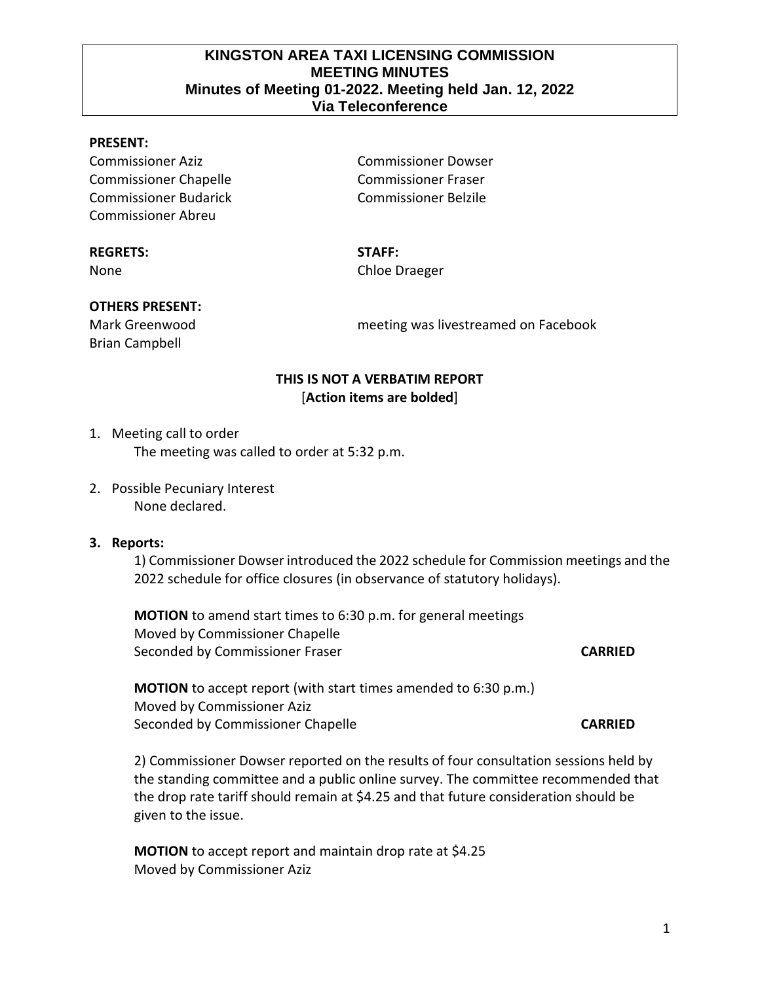## **KINGSTON AREA TAXI LICENSING COMMISSION MEETING MINUTES Minutes of Meeting 01-2022. Meeting held Jan. 12, 2022 Via Teleconference**

#### **PRESENT:**

Commissioner Aziz Commissioner Dowser Commissioner Chapelle Commissioner Fraser Commissioner Budarick Commissioner Belzile Commissioner Abreu

#### **REGRETS: STAFF:**

# None Chloe Draeger

#### **OTHERS PRESENT:**

Brian Campbell

Mark Greenwood meeting was livestreamed on Facebook

## **THIS IS NOT A VERBATIM REPORT** [**Action items are bolded**]

# 1. Meeting call to order The meeting was called to order at 5:32 p.m.

2. Possible Pecuniary Interest None declared.

#### **3. Reports:**

1) Commissioner Dowser introduced the 2022 schedule for Commission meetings and the 2022 schedule for office closures (in observance of statutory holidays).

**MOTION** to amend start times to 6:30 p.m. for general meetings Moved by Commissioner Chapelle Seconded by Commissioner Fraser **CARRIED**

**MOTION** to accept report (with start times amended to 6:30 p.m.) Moved by Commissioner Aziz Seconded by Commissioner Chapelle **CARRIED**

2) Commissioner Dowser reported on the results of four consultation sessions held by the standing committee and a public online survey. The committee recommended that the drop rate tariff should remain at \$4.25 and that future consideration should be given to the issue.

**MOTION** to accept report and maintain drop rate at \$4.25 Moved by Commissioner Aziz